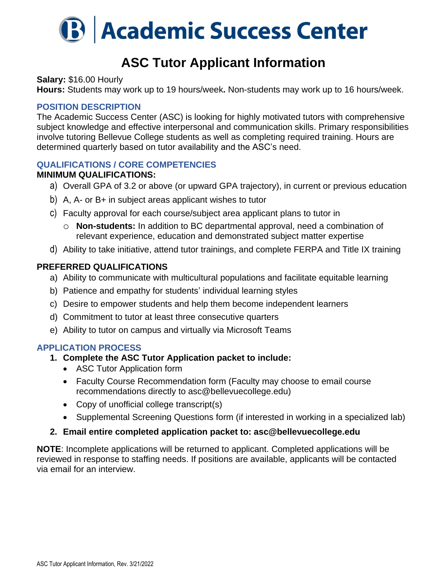

## **ASC Tutor Applicant Information**

**Salary:** \$16.00 Hourly

**Hours:** Students may work up to 19 hours/week**.** Non-students may work up to 16 hours/week.

#### **POSITION DESCRIPTION**

The Academic Success Center (ASC) is looking for highly motivated tutors with comprehensive subject knowledge and effective interpersonal and communication skills. Primary responsibilities involve tutoring Bellevue College students as well as completing required training. Hours are determined quarterly based on tutor availability and the ASC's need.

#### **QUALIFICATIONS / CORE COMPETENCIES**

#### **MINIMUM QUALIFICATIONS:**

- a) Overall GPA of 3.2 or above (or upward GPA trajectory), in current or previous education
- b) A, A- or B+ in subject areas applicant wishes to tutor
- c) Faculty approval for each course/subject area applicant plans to tutor in
	- o **Non-students:** In addition to BC departmental approval, need a combination of relevant experience, education and demonstrated subject matter expertise
- d) Ability to take initiative, attend tutor trainings, and complete FERPA and Title IX training

### **PREFERRED QUALIFICATIONS**

- a) Ability to communicate with multicultural populations and facilitate equitable learning
- b) Patience and empathy for students' individual learning styles
- c) Desire to empower students and help them become independent learners
- d) Commitment to tutor at least three consecutive quarters
- e) Ability to tutor on campus and virtually via Microsoft Teams

### **APPLICATION PROCESS**

- **1. Complete the ASC Tutor Application packet to include:**
	- ASC Tutor Application form
	- Faculty Course Recommendation form (Faculty may choose to email course recommendations directly to asc@bellevuecollege.edu)
	- Copy of unofficial college transcript(s)
	- Supplemental Screening Questions form (if interested in working in a specialized lab)

#### **2. Email entire completed application packet to: asc@bellevuecollege.edu**

**NOTE**: Incomplete applications will be returned to applicant. Completed applications will be reviewed in response to staffing needs. If positions are available, applicants will be contacted via email for an interview.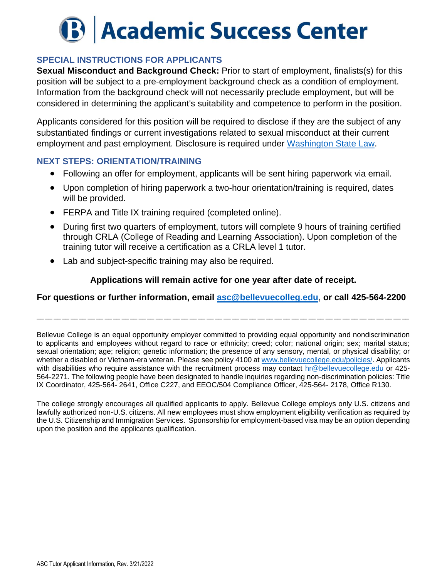# **B Academic Success Center**

## **SPECIAL INSTRUCTIONS FOR APPLICANTS**

**Sexual Misconduct and Background Check:** Prior to start of employment, finalists(s) for this position will be subject to a pre-employment background check as a condition of employment. Information from the background check will not necessarily preclude employment, but will be considered in determining the applicant's suitability and competence to perform in the position.

Applicants considered for this position will be required to disclose if they are the subject of any substantiated findings or current investigations related to sexual misconduct at their current employment and past employment. Disclosure is required under [Washington State Law.](https://app.leg.wa.gov/RCW/default.aspx?cite=28B.112.080)

#### **NEXT STEPS: ORIENTATION/TRAINING**

- Following an offer for employment, applicants will be sent hiring paperwork via email.
- Upon completion of hiring paperwork a two-hour orientation/training is required, dates will be provided.
- FERPA and Title IX training required (completed online).
- During first two quarters of employment, tutors will complete 9 hours of training certified through CRLA (College of Reading and Learning Association). Upon completion of the training tutor will receive a certification as a CRLA level 1 tutor.
- Lab and subject-specific training may also be required.

### **Applications will remain active for one year after date of receipt.**

### **For questions or further information, email [asc@bellevuecolleg.edu,](mailto:asc@bellevuecolleg.edu) or call 425-564-2200**

\_\_ \_\_ \_\_ \_\_ \_\_ \_\_ \_\_ \_\_ \_\_ \_\_ \_\_ \_\_ \_\_ \_\_ \_\_ \_\_ \_\_ \_\_ \_\_ \_\_ \_\_ \_\_ \_\_ \_\_ \_\_ \_\_ \_\_ \_\_ \_\_ \_\_ \_\_ \_\_ \_\_ \_\_ \_\_ \_\_ \_\_ \_\_ \_\_ \_\_ \_\_ \_\_ \_\_ \_\_

Bellevue College is an equal opportunity employer committed to providing equal opportunity and nondiscrimination to applicants and employees without regard to race or ethnicity; creed; color; national origin; sex; marital status; sexual orientation; age; religion; genetic information; the presence of any sensory, mental, or physical disability; or whether a disabled or Vietnam-era veteran. Please see policy 4100 at [www.bellevuecollege.edu/policies/.](http://www.bellevuecollege.edu/policies/) Applicants with disabilities who require assistance with the recruitment process may contact [hr@bellevuecollege.edu](mailto:hr@bellevuecollege.edu) or 425-564-2271. The following people have been designated to handle inquiries regarding non-discrimination policies: Title IX Coordinator, 425-564- 2641, Office C227, and EEOC/504 Compliance Officer, 425-564- 2178, Office R130.

The college strongly encourages all qualified applicants to apply. Bellevue College employs only U.S. citizens and lawfully authorized non-U.S. citizens. All new employees must show employment eligibility verification as required by the U.S. Citizenship and Immigration Services. Sponsorship for employment-based visa may be an option depending upon the position and the applicants qualification.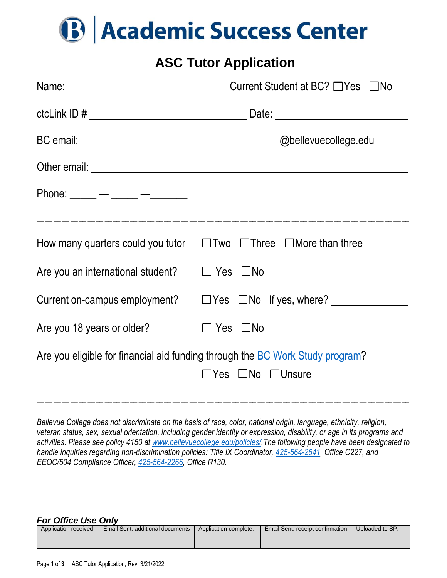

## **ASC Tutor Application**

| Phone: _____ — ____ — _____                                                                                                |                                                                                  |  |  |
|----------------------------------------------------------------------------------------------------------------------------|----------------------------------------------------------------------------------|--|--|
|                                                                                                                            |                                                                                  |  |  |
|                                                                                                                            | How many quarters could you tutor $\Box$ Two $\Box$ Three $\Box$ More than three |  |  |
| Are you an international student?                                                                                          | $\Box$ Yes $\Box$ No                                                             |  |  |
|                                                                                                                            | Current on-campus employment? $\Box$ Yes $\Box$ No If yes, where?                |  |  |
| Are you 18 years or older?                                                                                                 | $\Box$ Yes $\Box$ No                                                             |  |  |
| Are you eligible for financial aid funding through the <b>BC Work Study program?</b><br>$\Box$ Yes $\Box$ No $\Box$ Unsure |                                                                                  |  |  |

*Bellevue College does not discriminate on the basis of race, color, national origin, language, ethnicity, religion, veteran status, sex, sexual orientation, including gender identity or expression, disability, or age in its programs and activities. Please see policy 4150 at [www.bellevuecollege.edu/policies/.](http://www.bellevuecollege.edu/policies/)The following people have been designated to handle inquiries regarding non-discrimination policies: Title IX Coordinator, [425-564-2641,](tel:(425)%20564-2641) Office C227, and EEOC/504 Compliance Officer, [425-564-2266,](tel:(425)%20564-2266) Office R130.*

\_\_ \_\_ \_\_ \_\_ \_\_ \_\_ \_\_ \_\_ \_\_ \_\_ \_\_ \_\_ \_\_ \_\_ \_\_ \_\_ \_\_ \_\_ \_\_ \_\_ \_\_ \_\_ \_\_ \_\_ \_\_ \_\_ \_\_ \_\_ \_\_ \_\_ \_\_ \_\_ \_\_ \_\_ \_\_ \_\_ \_\_ \_\_ \_\_ \_\_ \_\_ \_\_ \_\_ \_\_

#### *For Office Use Only*

| Application received: | <b>Email Sent: additional documents</b> | Application complete: | Email Sent: receipt confirmation | Uploaded to SP: |
|-----------------------|-----------------------------------------|-----------------------|----------------------------------|-----------------|
|                       |                                         |                       |                                  |                 |
|                       |                                         |                       |                                  |                 |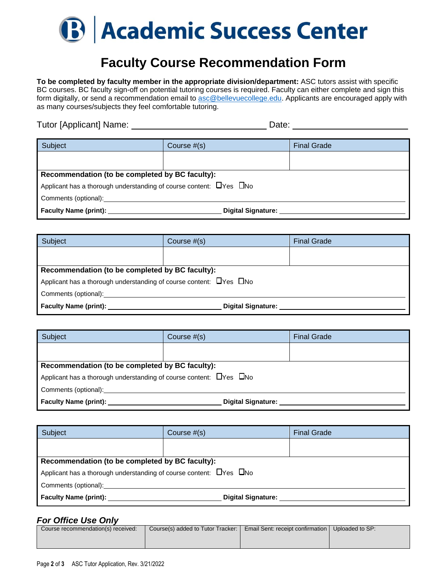

# **Faculty Course Recommendation Form**

**To be completed by faculty member in the appropriate division/department:** ASC tutors assist with specific BC courses. BC faculty sign-off on potential tutoring courses is required. Faculty can either complete and sign this form digitally, or send a recommendation email to [asc@bellevuecollege.edu.](mailto:asc@bellevuecollege.edu) Applicants are encouraged apply with as many courses/subjects they feel comfortable tutoring.

Tutor [Applicant] Name: Date:

| Subject                                                                        | Course $#(s)$ | <b>Final Grade</b> |  |
|--------------------------------------------------------------------------------|---------------|--------------------|--|
|                                                                                |               |                    |  |
|                                                                                |               |                    |  |
|                                                                                |               |                    |  |
| Recommendation (to be completed by BC faculty):                                |               |                    |  |
| Applicant has a thorough understanding of course content: $\Box$ Yes $\Box$ No |               |                    |  |
| Comments (optional):                                                           |               |                    |  |
| <b>Faculty Name (print):</b><br>Digital Signature: ___                         |               |                    |  |

| Subject                                                                                                                                                                                                                             | Course $#(s)$ | <b>Final Grade</b> |  |
|-------------------------------------------------------------------------------------------------------------------------------------------------------------------------------------------------------------------------------------|---------------|--------------------|--|
|                                                                                                                                                                                                                                     |               |                    |  |
|                                                                                                                                                                                                                                     |               |                    |  |
| Recommendation (to be completed by BC faculty):                                                                                                                                                                                     |               |                    |  |
| Applicant has a thorough understanding of course content: $\Box$ Yes $\Box$ No                                                                                                                                                      |               |                    |  |
| Comments (optional): <u>comments</u> (and the set of the set of the set of the set of the set of the set of the set of the set of the set of the set of the set of the set of the set of the set of the set of the set of the set o |               |                    |  |
| Faculty Name (print): Example 1 and the set of the set of the set of the set of the set of the set of the set o<br><b>Digital Signature:</b>                                                                                        |               |                    |  |

| Subject                                                                         | Course $#(s)$ | <b>Final Grade</b> |  |
|---------------------------------------------------------------------------------|---------------|--------------------|--|
|                                                                                 |               |                    |  |
| Recommendation (to be completed by BC faculty):                                 |               |                    |  |
| Applicant has a thorough understanding of course content: $\Box$ Yes $\Box$ No  |               |                    |  |
| Comments (optional):                                                            |               |                    |  |
| <b>Faculty Name (print):</b> Faculty Name (print):<br><b>Digital Signature:</b> |               |                    |  |

| Subject                                                                        | Course $#(s)$ | <b>Final Grade</b> |  |
|--------------------------------------------------------------------------------|---------------|--------------------|--|
|                                                                                |               |                    |  |
|                                                                                |               |                    |  |
| Recommendation (to be completed by BC faculty):                                |               |                    |  |
| Applicant has a thorough understanding of course content: $\Box$ Yes $\Box$ No |               |                    |  |
| Comments (optional):                                                           |               |                    |  |
| <b>Faculty Name (print):</b><br>Digital Signature:                             |               |                    |  |

#### *For Office Use Only*

| .                                  |                                   |                                                    |  |
|------------------------------------|-----------------------------------|----------------------------------------------------|--|
| Course recommendation(s) received: | Course(s) added to Tutor Tracker: | Email Sent: receipt confirmation   Uploaded to SP: |  |
|                                    |                                   |                                                    |  |
|                                    |                                   |                                                    |  |
|                                    |                                   |                                                    |  |